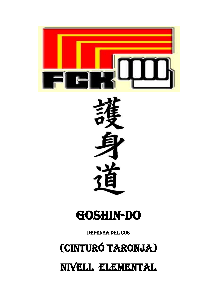

# GOSHIN-DO

**DEFENSA DEL COS** 

# (CINTURÓ TARONJA)

NIVELL ELEMENTAL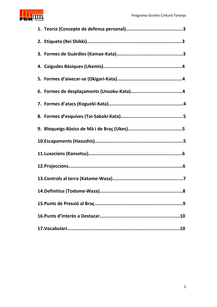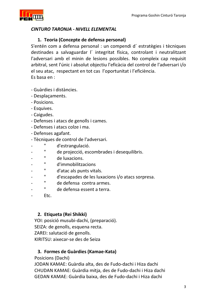

## CINTURO TARONJA - NIVELL ELEMENTAL

### 1. Teoria (Concepte de defensa personal)

S'entén com a defensa personal : un compendi d'estratègies i tècniques destinades a salvaguardar l'integritat física, controlant i neutralitzant l'adversari amb el minin de lesions possibles. No compleix cap requisit arbitral, sent l'únic i absolut objectiu l'eficàcia del control de l'adversari i/o el seu atac, respectant en tot cas l'oportunitat i l'eficiència. Es basa en :

- Guàrdies i distàncies.
- Desplacaments.
- Posicions.
- Esquives.
- Caigudes.
- Defenses i atacs de genolls i cames.
- Defenses i atacs colze i ma.
- Defenses agafant.
- Tècniques de control de l'adversari.
- $\mathbf{u}$ d'estrangulació.
- Ĥ. de projecció, escombrades i desequilibris.
- $\mathbf{H}$ de luxacions.
- $\mathbf H$ d'immobilitzacions
- $\mathbf H$ d'atac als punts vitals.
- $\mathbf H$ d'escapades de les luxacions i/o atacs sorpresa.
- $\bar{\mathbf{H}}$ de defensa contra armes.
- $\mathbf{H}$ de defensa essent a terra.
- Etc.

### 2. Etiqueta (Rei Shikki)

YOI: posició musubi-dachi, (preparació). SEIZA: de genolls, esquena recta. ZAREI: salutació de genolls. KIRITSU: aixecar-se des de Seiza

### 3. Formes de Guàrdies (Kamae-Kata)

Posicions (Dachi)

JODAN KAMAE: Guàrdia alta, des de Fudo-dachi i Hiza dachi CHUDAN KAMAE: Guàrdia mitja, des de Fudo-dachi i Hiza dachi GEDAN KAMAE: Guàrdia baixa, des de Fudo-dachi i Hiza dachi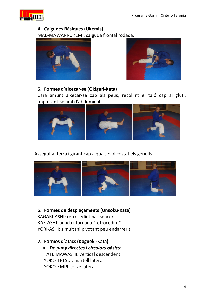

## 4. Caigudes Bàsiques (Ukemis)

MAE-MAWARI-UKEMI: caiguda frontal rodada.





## 5. Formes d'aixecar-se (Okigari-Kata)

Cara amunt aixecar-se cap als peus, recollint el taló cap al gluti, impulsant-se amb l'abdominal.



Assegut al terra i girant cap a qualsevol costat els genolls



6. Formes de desplaçaments (Unsoku-Kata) SAGARI-ASHI: retrocedint pas sencer KAE-ASHI: anada i tornada "retrocedint" YORI-ASHI: simultani pivotant peu endarrerit

- 7. Formes d'atacs (Kogueki-Kata)
	- De puny directes i circulars bàsics: TATE MAWASHI: vertical descendent YOKO-TETSUI: martell lateral YOKO-EMPI: colze lateral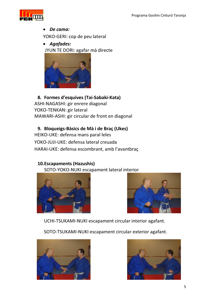

• De cama:

YOKO-GERI: cop de peu lateral

• Agafades:

JYUN TE DORI: agafar mà directe



## 8. Formes d'esquives (Tai-Sabaki-Kata)

ASHI-NAGASHI: gir enrere diagonal YOKO-TENKAN: gir lateral MAWARI-ASHI: gir circular de front en diagonal

### 9. Bloqueigs-Bàsics de Mà i de Braç (Ukes)

HEIKO-UKE: defensa mans paral leles YOKO-JUJI-UKE: defensa lateral creuada HARAI-UKE: defensa escombrant, amb l'avantbraç

## 10. Escapaments (Hazushis)

SOTO-YOKO-NUKI escapament lateral interior





UCHI-TSUKAMI-NUKI escapament circular interior agafant.

SOTO-TSUKAMI-NUKI escapament circular exterior agafant.



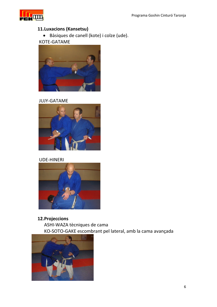

# 11.Luxacions (Kansetsu)

· Bàsiques de canell (kote) i colze (ude).

KOTE-GATAME



**JUJY-GATAME** 



### **UDE-HINERI**



12. Projeccions ASHI-WAZA tècniques de cama KO-SOTO-GAKE escombrant pel lateral, amb la cama avançada

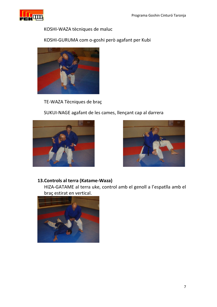

KOSHI-WAZA tècniques de maluc

KOSHI-GURUMA com o-goshi però agafant per Kubi



TE-WAZA Tècniques de braç

SUKUI-NAGE agafant de les cames, llençant cap al darrera





## 13. Controls al terra (Katame-Waza)

HIZA-GATAME al terra uke, control amb el genoll a l'espatlla amb el braç estirat en vertical.

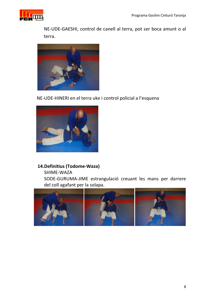

NE-UDE-GAESHI, control de canell al terra, pot ser boca amunt o al terra.



NE-UDE-HINERI en el terra uke i control policial a l'esquena



# 14. Definitius (Todome-Waza)

SHIME-WAZA

SODE-GURUMA-JIME estrangulació creuant les mans per darrere del coll agafant per la solapa.

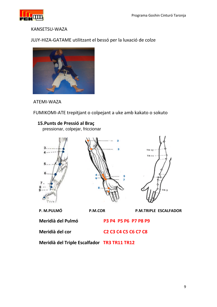

#### KANSETSU-WAZA

## JUJY-HIZA-GATAME utilitzant el bessó per la luxació de colze



ATEMI-WAZA

FUMIKOMI-ATE trepitjant o colpejant a uke amb kakato o sokuto

# 15. Punts de Pressió al Brac

pressionar, colpejar, friccionar



Meridià del Pulmó<br>
P3 P4 P5 P6 P7 P8 P9

Meridià del cor C2 C3 C4 C5 C6 C7 C8

Meridià del Triple Escalfador TR3 TR11 TR12